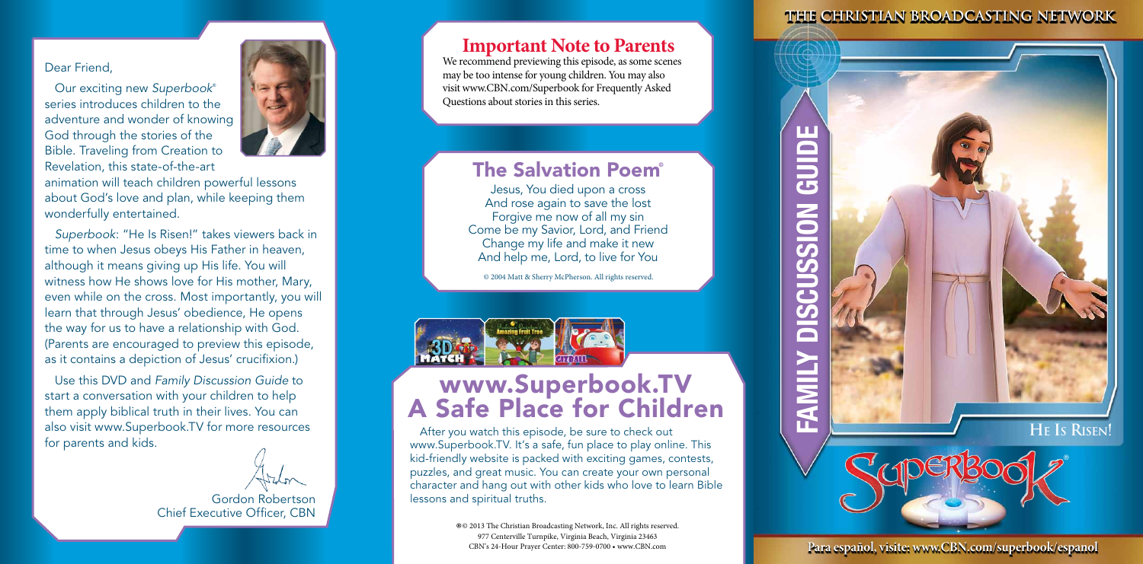#### Dear Friend,

Our exciting new Superbook® series introduces children to the adventure and wonder of knowing God through the stories of the Bible. Traveling from Creation to Revelation, this state-of-the-art



Superbook: "He Is Risen!" takes viewers back in time to when Jesus obeys His Father in heaven, although it means giving up His life. You will witness how He shows love for His mother, Mary, even while on the cross. Most importantly, you will learn that through Jesus' obedience, He opens the way for us to have a relationship with God. (Parents are encouraged to preview this episode, as it contains a depiction of Jesus' crucifixion.)

Use this DVD and Family Discussion Guide to start a conversation with your children to help them apply biblical truth in their lives. You can also visit www.Superbook.TV for more resources for parents and kids.



Gordon Robertson Chief Executive Officer, CBN

### **Important Note to Parents**

We recommend previewing this episode, as some scenes may be too intense for young children. You may also visit www.CBN.com/Superbook for Frequently Asked Questions about stories in this series.

## The Salvation Poem®

Jesus, You died upon a cross And rose again to save the lost Forgive me now of all my sin Come be my Savior, Lord, and Friend Change my life and make it new And help me, Lord, to live for You

© 2004 Matt & Sherry McPherson. All rights reserved.

# www.Superbook.TV<br>A Safe Place for Children

After you watch this episode, be sure to check out www.Superbook.TV. It's a safe, fun place to play online. This kid-friendly website is packed with exciting games, contests, puzzles, and great music. You can create your own personal character and hang out with other kids who love to learn Bible lessons and spiritual truths.

> ® © 2013 The Christian Broadcasting Network, Inc. All rights reserved. 977 Centerville Turnpike, Virginia Beach, Virginia 23463 CBN's 24-Hour Prayer Center: 800-759-0700 • www.CBN.com

#### **The Chris The Christtian Broad ian Broadccasastting ing NNeettwork work**



**Para español, visite: www.CBN.com/superbook/espanol**